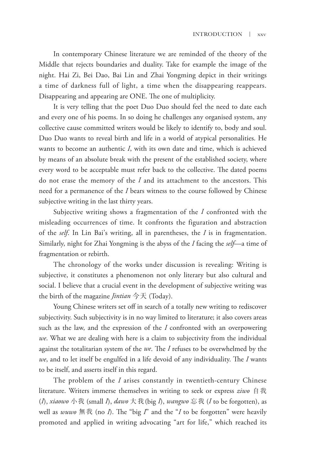In contemporary Chinese literature we are reminded of the theory of the Middle that rejects boundaries and duality. Take for example the image of the night. Hai Zi, Bei Dao, Bai Lin and Zhai Yongming depict in their writings a time of darkness full of light, a time when the disappearing reappears. Disappearing and appearing are ONE. The one of multiplicity.

It is very telling that the poet Duo Duo should feel the need to date each and every one of his poems. In so doing he challenges any organised system, any collective cause committed writers would be likely to identify to, body and soul. Duo Duo wants to reveal birth and life in a world of atypical personalities. He wants to become an authentic *I*, with its own date and time, which is achieved by means of an absolute break with the present of the established society, where every word to be acceptable must refer back to the collective. The dated poems do not erase the memory of the *I* and its attachment to the ancestors. This need for a permanence of the *I* bears witness to the course followed by Chinese subjective writing in the last thirty years.

Subjective writing shows a fragmentation of the *I* confronted with the misleading occurrences of time. It confronts the figuration and abstraction of the *self*. In Lin Bai's writing, all in parentheses, the *I* is in fragmentation. Similarly, night for Zhai Yongming is the abyss of the *I* facing the *self*—a time of fragmentation or rebirth.

The chronology of the works under discussion is revealing: Writing is subjective, it constitutes a phenomenon not only literary but also cultural and social. I believe that a crucial event in the development of subjective writing was the birth of the magazine *Jintian* 今天 (Today).

Young Chinese writers set off in search of a totally new writing to rediscover subjectivity. Such subjectivity is in no way limited to literature; it also covers areas such as the law, and the expression of the *I* confronted with an overpowering *we*. What we are dealing with here is a claim to subjectivity from the individual against the totalitarian system of the *we*. The *I* refuses to be overwhelmed by the *we*, and to let itself be engulfed in a life devoid of any individuality. The *I* wants to be itself, and asserts itself in this regard.

The problem of the *I* arises constantly in twentieth-century Chinese literature. Writers immerse themselves in writing to seek or express *ziwo* 自我 (*I*), *xiaowo* 小我 (small *I*), *dawo* 大我(big *I*), *wangwo* 忘我 (*I* to be forgotten), as well as *wuwo* 無我 (no *I*). The "big *I*" and the "*I* to be forgotten" were heavily promoted and applied in writing advocating "art for life," which reached its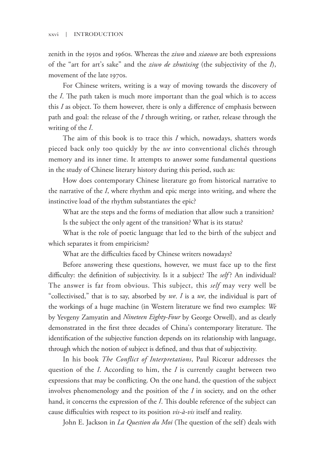zenith in the 1950s and 1960s. Whereas the *ziwo* and *xiaowo* are both expressions of the "art for art's sake" and the *ziwo de zhutixing* (the subjectivity of the *I*), movement of the late 1970s.

For Chinese writers, writing is a way of moving towards the discovery of the *I*. The path taken is much more important than the goal which is to access this *I* as object. To them however, there is only a difference of emphasis between path and goal: the release of the *I* through writing, or rather, release through the writing of the *I*.

The aim of this book is to trace this *I* which, nowadays, shatters words pieced back only too quickly by the *we* into conventional clichés through memory and its inner time. It attempts to answer some fundamental questions in the study of Chinese literary history during this period, such as:

How does contemporary Chinese literature go from historical narrative to the narrative of the *I*, where rhythm and epic merge into writing, and where the instinctive load of the rhythm substantiates the epie?

What are the steps and the forms of mediation that allow such a transition? Is the subject the only agent of the transition? What is its status?

What is the role of poetic language that led to the birth of the subject and which separates it from empiricism?

What are the difficulties faced by Chinese writers nowadays?

Before answering these questions, however, we must face up to the first difficulty: the definition of subjectivity. Is it a subject? The *self* ? An individual? The answer is far from obvious. This subject, this *self* may very well be "collectivised," that is to say, absorbed by *we*. *I* is a *we*, the individual is part of the workings of a huge machine (in Western literature we find two examples: *We*  by Yevgeny Zamyatin and *Nineteen Eighty-Four* by George Orwell), and as clearly demonstrated in the first three decades of China's contemporary literature. The identification of the subjective function depends on its relationship with language, through which the notion of subject is defined, and thus that of subjectivity. **The matrice set of** the specifical set of the specifical set of the specific of the "set of the late syres". For Chinese writers, writing its awy of moving towards the discovery of the *I*. The path taken is more matrix

In his book *The Conflict of Interpretations*, Paul Ricœur addresses the question of the *I*. According to him, the *I* is currently caught between two expressions that may be conflicting. On the one hand, the question of the subject involves phenomenology and the position of the *I* in society, and on the other hand, it concerns the expression of the *I*. This double reference of the subject can cause difficulties with respect to its position *vis-à-vis* itself and reality.

John E. Jackson in *La Question du Moi* (The question of the self) deals with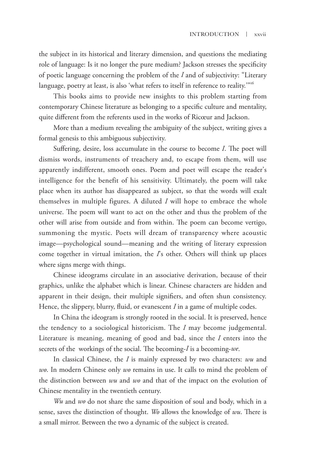the subject in its historical and literary dimension, and questions the mediating role of language: Is it no longer the pure medium? Jackson stresses the specificity language, poetry at least, is also 'what refers to itself in reference to reality.'"<sup>16</sup>

of poetic language concerning the problem of the *I* and of subjectivity: "Literary language, poetry at least, is also 'what refers to itself in reference to reality."<sup>36</sup><br>This books aims to provide new insights to this pr This books aims to provide new insights to this problem starting from contemporary Chinese literature as belonging to a specific culture and mentality, quite different from the referents used in the works of Ricœur and Jackson.

More than a medium revealing the ambiguity of the subject, writing gives a formal genesis to this ambiguous subjectivity.

Suffering, desire, loss accumulate in the course to become *I*. The poet will dismiss words, instruments of treachery and, to escape from them, will use apparently indifferent, smooth ones. Poem and poet will escape the reader's intelligence for the benefit of his sensitivity. Ultimately, the poem will take place when its author has disappeared as subject, so that the words will exalt themselves in multiple figures. A diluted *I* will hope to embrace the whole universe. The poem will want to act on the other and thus the problem of the other will arise from outside and from within. The poem can become vertigo, summoning the mystic. Poets will dream of transparency where acoustic image—psychological sound—meaning and the writing of literary expression come together in virtual imitation, the *I*'s other. Others will think up places where signs merge with things. **The subset in this transformation** in determined and other chineses the specific pressed by order and the specific the pressed by the pressed by the specific the specific theorem is the specific the specific theorem is t

Chinese ideograms circulate in an associative derivation, because of their graphics, unlike the alphabet which is linear. Chinese characters are hidden and apparent in their design, their multiple signifiers, and often shun consistency. Hence, the slippery, blurry, fluid, or evanescent *I* in a game of multiple codes.

In China the ideogram is strongly rooted in the social. It is preserved, hence the tendency to a sociological historicism. The *I* may become judgemental. Literature is meaning, meaning of good and bad, since the *I* enters into the secrets of the workings of the social. The becoming-*I* is a becoming-*we*.

In classical Chinese, the *I* is mainly expressed by two characters: *wu* and *wo*. In modern Chinese only *wo* remains in use. It calls to mind the problem of the distinction between *wu* and *wo* and that of the impact on the evolution of Chinese mentality in the twentieth century.

*Wu* and *wo* do not share the same disposition of soul and body, which in a sense, saves the distinction of thought. *Wo* allows the knowledge of *wu*. There is a small mirror. Between the two a dynamic of the subject is created.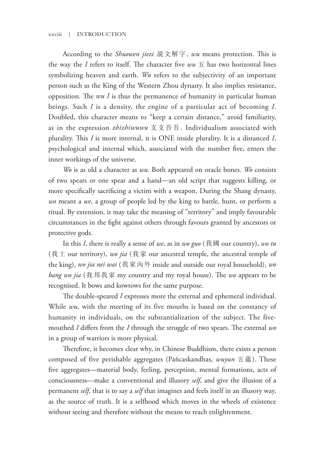According to the *Shuowen jiezi* 說文解字, *wu* means protection. This is the way the *I* refers to itself. The character five  $wu \pm$  has two horizontal lines symbolizing heaven and earth. *Wu* refers to the subjectivity of an important person such as the King of the Western Zhou dynasty. It also implies resistance, opposition. The *wu I* is thus the permanence of humanity in particular human beings. Such *I* is a density, the engine of a particular act of becoming *I*. Doubled, this character means to "keep a certain distance," avoid familiarity, as in the expression *zhizhiwuwu* 支支吾吾. Individualism associated with plurality. This *I* is more internal, it is ONE inside plurality. It is a distanced *I*, psychological and internal which, associated with the number five, enters the inner workings of the universe. **The Chinese Chinese Chinese Chinese Conserve**  $\mu$  **<b>EXECUTE AS CONFIGURE (The** chinese contains and each sumple the symbolizing heaven and each. We refer to the subjectivity of an important pression such as the King of

*Wo* is as old a character as *wu*. Both appeared on oracle bones. *Wo* consists of two spears or one spear and a hand—an old script that suggests killing, or more specifically sacrificing a victim with a weapon. During the Shang dynasty, *wo* meant a *we*, a group of people led by the king to battle, hunt, or perform a ritual. By extension, it may take the meaning of "territory" and imply favourable circumstances in the fight against others through favours granted by ancestors or protective gods.

In this *I*, there is really a sense of *we*, as in *wo guo* (我國 our country), *wo tu* (我土 our territory), *wo jia* (我家 our ancestral temple, the ancestral temple of the king), *wo jia nei wai* (我家內外 inside and outside our royal household), *wo bang wo jia* (我邦我家 my country and my royal house). The *wo* appears to be recognised. It bows and kowtows for the same purpose.

The double-speared *I* expresses more the external and ephemeral individual. While *wu*, with the meeting of its five mouths is based on the constancy of humanity in individuals, on the substantialization of the subject. The fivemouthed *I* differs from the *I* through the struggle of two spears. The external *wo* in a group of warriors is more physical.

Therefore, it becomes clear why, in Chinese Buddhism, there exists a person composed of five perishable aggregates (Pañcaskandhas, *wuyun* 五蘊). These five aggregates—material body, feeling, perception, mental formations, acts of consciousness—make a conventional and illusory *self*, and give the illusion of a permanent *self*, that is to say a *self* that imagines and feels itself in an illusory way, as the source of truth. It is a selfhood which moves in the wheels of existence without seeing and therefore without the means to reach enlightenment.